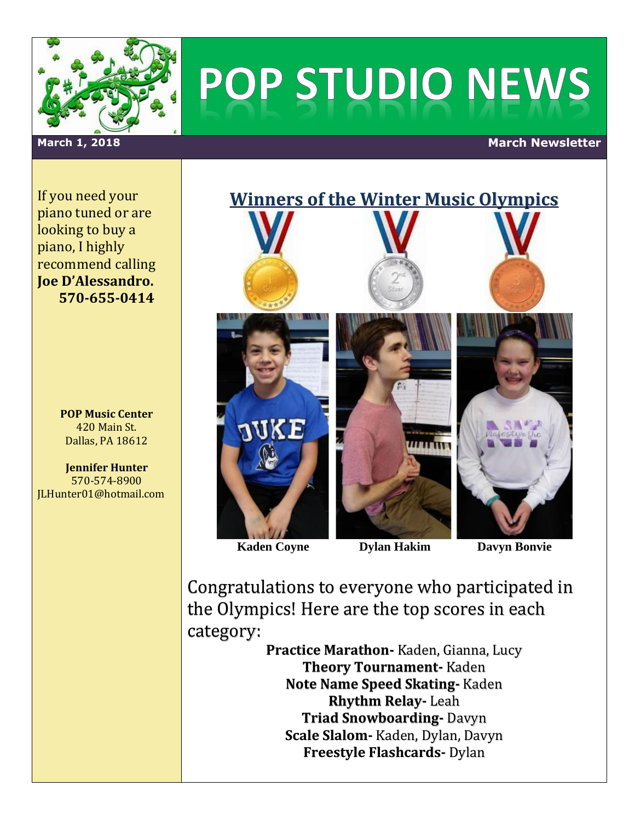

# POP STUDIO NEWS

### **March 1, 2018 March Newsletter**

If you need your piano tuned or are looking to buy a piano, I highly recommend calling **Joe D'Alessandro. 570-655-0414**

> **POP Music Center** 420 Main St. Dallas, PA 18612

**Jennifer Hunter** 570-574-8900 JLHunter01@hotmail.com



 **Kaden Coyne Dylan Hakim Davyn Bonvie**

Congratulations to everyone who participated in the Olympics! Here are the top scores in each category:

> **Practice Marathon-** Kaden, Gianna, Lucy **Theory Tournament-** Kaden **Note Name Speed Skating-** Kaden **Rhythm Relay-** Leah **Triad Snowboarding-** Davyn **Scale Slalom-** Kaden, Dylan, Davyn **Freestyle Flashcards-** Dylan